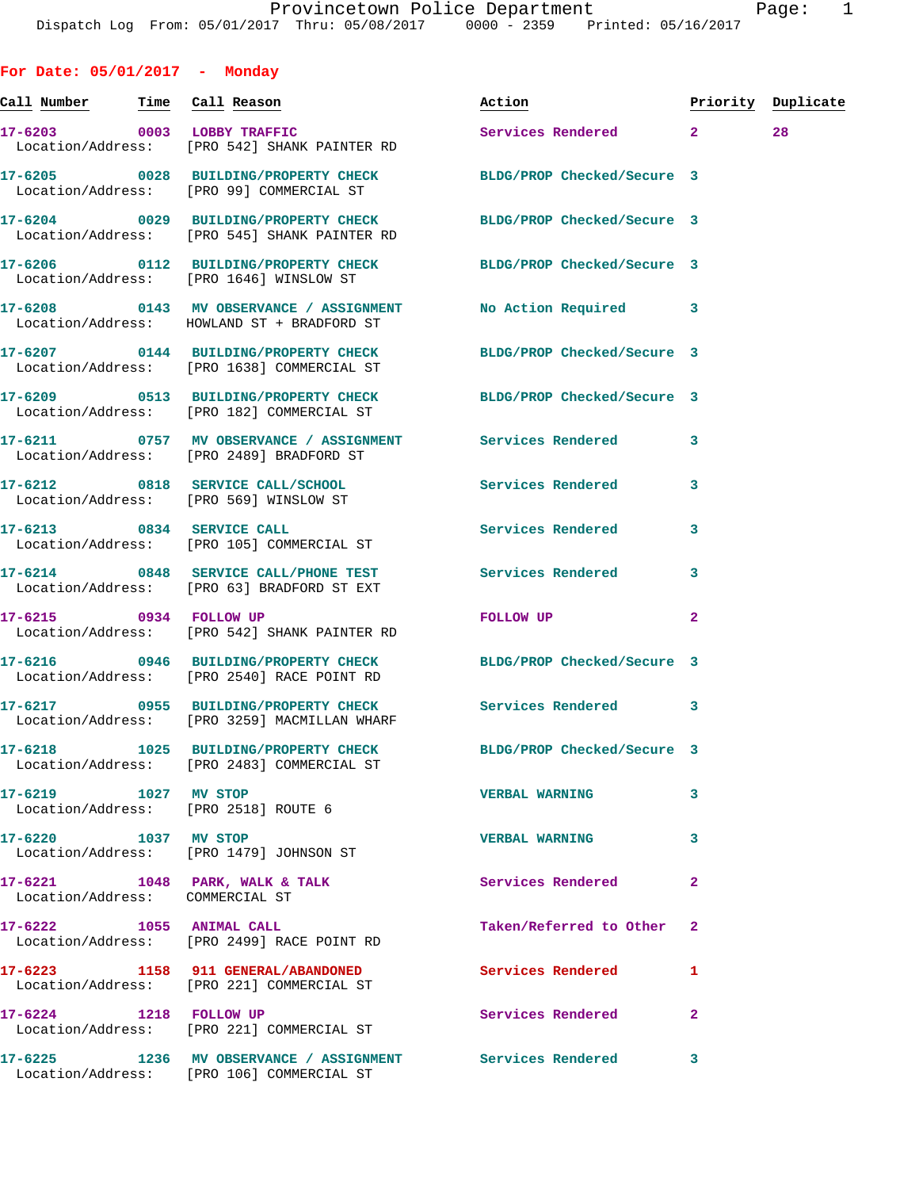**Call Number Time Call Reason Action Priority Duplicate 17-6203 0003 LOBBY TRAFFIC Services Rendered 2 28**  Location/Address: [PRO 542] SHANK PAINTER RD **17-6205 0028 BUILDING/PROPERTY CHECK BLDG/PROP Checked/Secure 3**  Location/Address: [PRO 99] COMMERCIAL ST **17-6204 0029 BUILDING/PROPERTY CHECK BLDG/PROP Checked/Secure 3**  Location/Address: [PRO 545] SHANK PAINTER RD **17-6206 0112 BUILDING/PROPERTY CHECK BLDG/PROP Checked/Secure 3**  Location/Address: [PRO 1646] WINSLOW ST **17-6208 0143 MV OBSERVANCE / ASSIGNMENT No Action Required 3**  Location/Address: HOWLAND ST + BRADFORD ST **17-6207 0144 BUILDING/PROPERTY CHECK BLDG/PROP Checked/Secure 3**  Location/Address: [PRO 1638] COMMERCIAL ST **17-6209 0513 BUILDING/PROPERTY CHECK BLDG/PROP Checked/Secure 3**  Location/Address: [PRO 182] COMMERCIAL ST **17-6211 0757 MV OBSERVANCE / ASSIGNMENT Services Rendered 3**  Location/Address: [PRO 2489] BRADFORD ST **17-6212 0818 SERVICE CALL/SCHOOL Services Rendered 3**  Location/Address: [PRO 569] WINSLOW ST **17-6213 0834 SERVICE CALL Services Rendered 3**  Location/Address: [PRO 105] COMMERCIAL ST **17-6214 0848 SERVICE CALL/PHONE TEST Services Rendered 3**  Location/Address: [PRO 63] BRADFORD ST EXT **17-6215 0934 FOLLOW UP FOLLOW UP 2**  Location/Address: [PRO 542] SHANK PAINTER RD **17-6216 0946 BUILDING/PROPERTY CHECK BLDG/PROP Checked/Secure 3**  Location/Address: [PRO 2540] RACE POINT RD **17-6217 0955 BUILDING/PROPERTY CHECK Services Rendered 3**  Location/Address: [PRO 3259] MACMILLAN WHARF **17-6218 1025 BUILDING/PROPERTY CHECK BLDG/PROP Checked/Secure 3**  Location/Address: [PRO 2483] COMMERCIAL ST **17-6219 1027 MV STOP VERBAL WARNING 3**  Location/Address: [PRO 2518] ROUTE 6 **17-6220 1037 MV STOP VERBAL WARNING 3**  Location/Address: [PRO 1479] JOHNSON ST 17-6221 1048 PARK, WALK & TALK **Services Rendered** 2 Location/Address: COMMERCIAL ST **17-6222 1055 ANIMAL CALL Taken/Referred to Other 2**  Location/Address: [PRO 2499] RACE POINT RD **17-6223 1158 911 GENERAL/ABANDONED Services Rendered 1**  Location/Address: [PRO 221] COMMERCIAL ST 17-6224 1218 FOLLOW UP **Services Rendered** 2

Location/Address: [PRO 221] COMMERCIAL ST

**For Date: 05/01/2017 - Monday**

**17-6225 1236 MV OBSERVANCE / ASSIGNMENT Services Rendered 3** 

Location/Address: [PRO 106] COMMERCIAL ST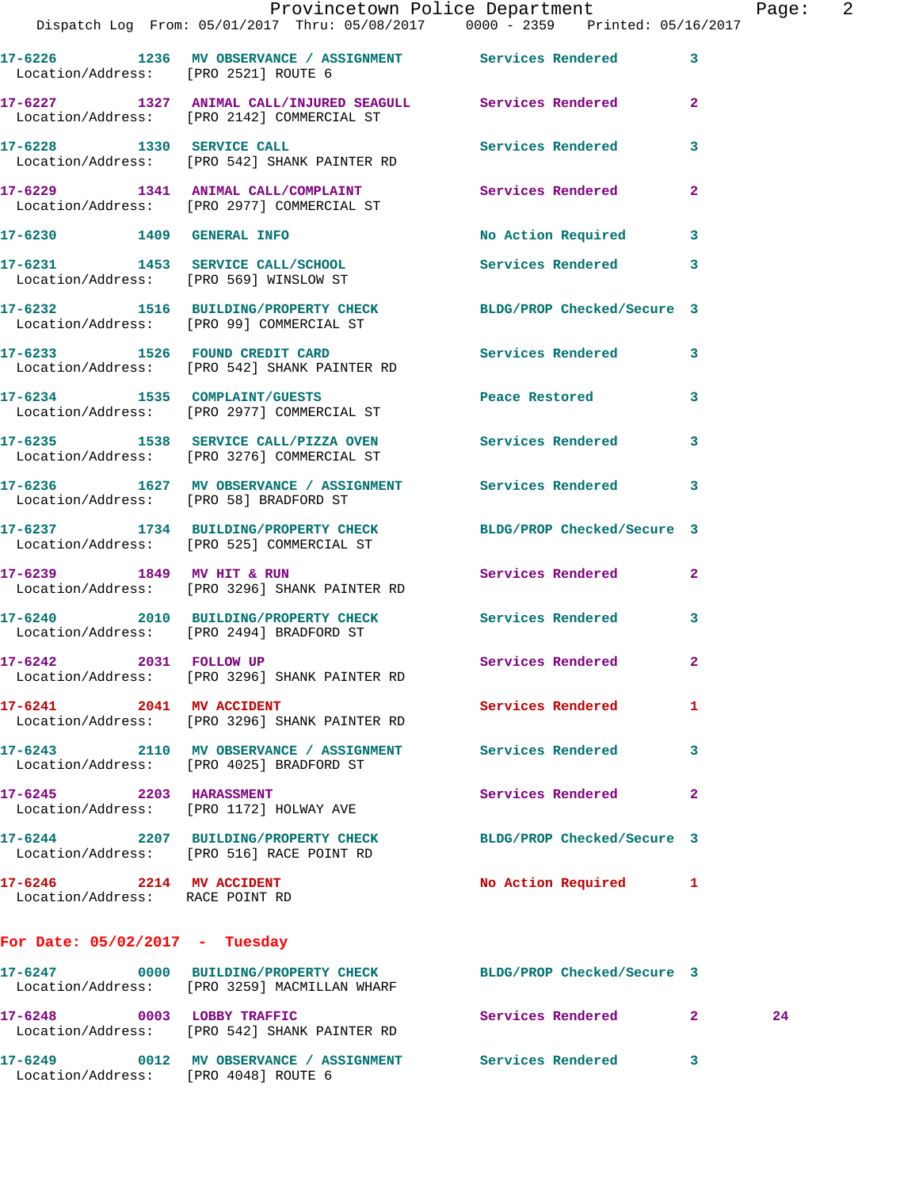|                                                             | Dispatch Log From: 05/01/2017 Thru: 05/08/2017 0000 - 2359 Printed: 05/16/2017                                  | Provincetown Police Department        |              | Page: 2 |  |
|-------------------------------------------------------------|-----------------------------------------------------------------------------------------------------------------|---------------------------------------|--------------|---------|--|
|                                                             |                                                                                                                 |                                       |              |         |  |
| Location/Address: [PRO 2521] ROUTE 6                        | 17-6226 1236 MV OBSERVANCE / ASSIGNMENT Services Rendered 3                                                     |                                       |              |         |  |
|                                                             | 17-6227 1327 ANIMAL CALL/INJURED SEAGULL Services Rendered 2<br>Location/Address: [PRO 2142] COMMERCIAL ST      |                                       |              |         |  |
|                                                             | 17-6228 1330 SERVICE CALL<br>Location/Address: [PRO 542] SHANK PAINTER RD                                       | <b>Services Rendered</b>              | 3            |         |  |
|                                                             | 17-6229 1341 ANIMAL CALL/COMPLAINT Services Rendered 2<br>Location/Address: [PRO 2977] COMMERCIAL ST            |                                       |              |         |  |
|                                                             | 17-6230 1409 GENERAL INFO                                                                                       | No Action Required 3                  |              |         |  |
|                                                             | 17-6231 1453 SERVICE CALL/SCHOOL<br>Location/Address: [PRO 569] WINSLOW ST                                      | Services Rendered                     | 3            |         |  |
|                                                             | 17-6232 1516 BUILDING/PROPERTY CHECK BLDG/PROP Checked/Secure 3<br>Location/Address: [PRO 99] COMMERCIAL ST     |                                       |              |         |  |
|                                                             | 17-6233 1526 FOUND CREDIT CARD<br>Location/Address: [PRO 542] SHANK PAINTER RD                                  | Services Rendered 3                   |              |         |  |
|                                                             | 17-6234 1535 COMPLAINT/GUESTS<br>Location/Address: [PRO 2977] COMMERCIAL ST                                     | Peace Restored and the Peace Restored | 3            |         |  |
|                                                             | 17-6235 1538 SERVICE CALL/PIZZA OVEN Services Rendered<br>Location/Address: [PRO 3276] COMMERCIAL ST            |                                       | $\mathbf{3}$ |         |  |
| Location/Address: [PRO 58] BRADFORD ST                      | 17-6236 1627 MV OBSERVANCE / ASSIGNMENT Services Rendered                                                       |                                       | 3            |         |  |
|                                                             | 17-6237 1734 BUILDING/PROPERTY CHECK BLDG/PROP Checked/Secure 3<br>Location/Address: [PRO 525] COMMERCIAL ST    |                                       |              |         |  |
|                                                             | 17-6239 1849 MV HIT & RUN<br>Location/Address: [PRO 3296] SHANK PAINTER RD                                      | Services Rendered                     | $\mathbf{2}$ |         |  |
|                                                             | 17-6240 2010 BUILDING/PROPERTY CHECK Services Rendered<br>Location/Address: [PRO 2494] BRADFORD ST              |                                       | 3            |         |  |
| 17-6242 2031 FOLLOW UP                                      | Location/Address: [PRO 3296] SHANK PAINTER RD                                                                   | Services Rendered 2                   |              |         |  |
| 17-6241 2041 MV ACCIDENT                                    | Location/Address: [PRO 3296] SHANK PAINTER RD                                                                   | Services Rendered                     | 1            |         |  |
|                                                             | 17-6243 2110 MV OBSERVANCE / ASSIGNMENT Services Rendered<br>Location/Address: [PRO 4025] BRADFORD ST           |                                       | 3            |         |  |
| 17-6245 2203 HARASSMENT                                     | Location/Address: [PRO 1172] HOLWAY AVE                                                                         | Services Rendered                     | $\mathbf{2}$ |         |  |
|                                                             | 17-6244 2207 BUILDING/PROPERTY CHECK<br>Location/Address: [PRO 516] RACE POINT RD                               | BLDG/PROP Checked/Secure 3            |              |         |  |
| 17-6246 2214 MV ACCIDENT<br>Location/Address: RACE POINT RD |                                                                                                                 | No Action Required 1                  |              |         |  |
| For Date: $05/02/2017$ - Tuesday                            |                                                                                                                 |                                       |              |         |  |
|                                                             | 17-6247 0000 BUILDING/PROPERTY CHECK BLDG/PROP Checked/Secure 3<br>Location/Address: [PRO 3259] MACMILLAN WHARF |                                       |              |         |  |
|                                                             | 17-6248 0003 LOBBY TRAFFIC<br>Location/Address: [PRO 542] SHANK PAINTER RD                                      | Services Rendered 2                   |              | 24      |  |
|                                                             | 17-6249 0012 MV OBSERVANCE / ASSIGNMENT Services Rendered 3                                                     |                                       |              |         |  |

Location/Address: [PRO 4048] ROUTE 6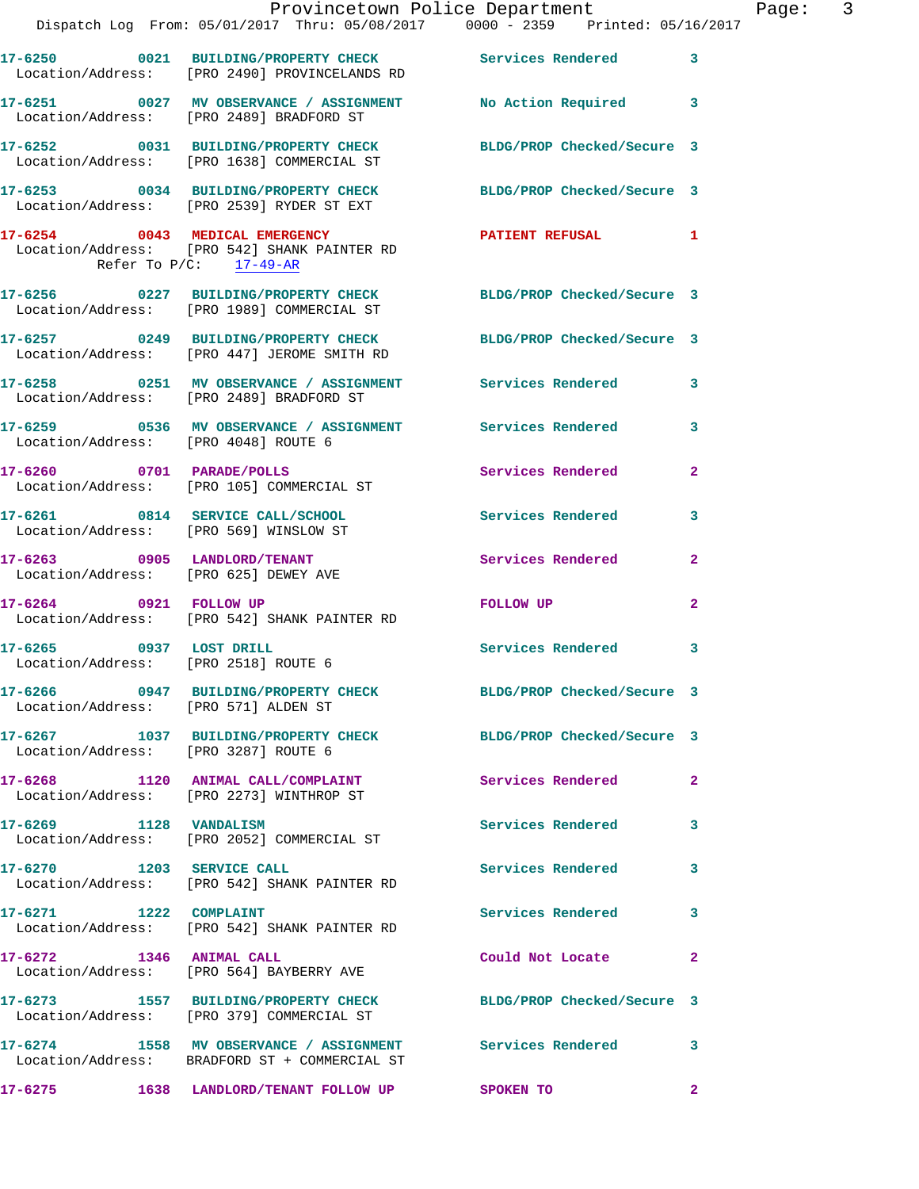|                                       | Dispatch Log From: 05/01/2017 Thru: 05/08/2017 0000 - 2359 Printed: 05/16/2017                                 | Provincetown Police Department The Rage: 3 |              |
|---------------------------------------|----------------------------------------------------------------------------------------------------------------|--------------------------------------------|--------------|
|                                       | 17-6250 0021 BUILDING/PROPERTY CHECK Services Rendered 3<br>Location/Address: [PRO 2490] PROVINCELANDS RD      |                                            |              |
|                                       | 17-6251 0027 MV OBSERVANCE / ASSIGNMENT No Action Required 3<br>Location/Address: [PRO 2489] BRADFORD ST       |                                            |              |
|                                       | 17-6252 0031 BUILDING/PROPERTY CHECK BLDG/PROP Checked/Secure 3<br>Location/Address: [PRO 1638] COMMERCIAL ST  |                                            |              |
|                                       | 17-6253 0034 BUILDING/PROPERTY CHECK BLDG/PROP Checked/Secure 3<br>Location/Address: [PRO 2539] RYDER ST EXT   |                                            |              |
| Refer To $P/C$ : $\frac{17-49-AR}{2}$ | 17-6254 0043 MEDICAL EMERGENCY<br>Location/Address: [PRO 542] SHANK PAINTER RD                                 | PATIENT REFUSAL 1                          |              |
|                                       | 17-6256 0227 BUILDING/PROPERTY CHECK BLDG/PROP Checked/Secure 3<br>Location/Address: [PRO 1989] COMMERCIAL ST  |                                            |              |
|                                       | 17-6257 0249 BUILDING/PROPERTY CHECK BLDG/PROP Checked/Secure 3<br>Location/Address: [PRO 447] JEROME SMITH RD |                                            |              |
|                                       | 17-6258 0251 MV OBSERVANCE / ASSIGNMENT Services Rendered<br>Location/Address: [PRO 2489] BRADFORD ST          |                                            | 3            |
|                                       | 17-6259 0536 MV OBSERVANCE / ASSIGNMENT Services Rendered 3<br>Location/Address: [PRO 4048] ROUTE 6            |                                            |              |
|                                       | 17-6260 0701 PARADE/POLLS<br>Location/Address: [PRO 105] COMMERCIAL ST                                         | Services Rendered                          | $\mathbf{2}$ |
|                                       | 17-6261 0814 SERVICE CALL/SCHOOL 5ervices Rendered<br>Location/Address: [PRO 569] WINSLOW ST                   |                                            | 3            |
| Location/Address: [PRO 625] DEWEY AVE | 17-6263 0905 LANDLORD/TENANT                                                                                   | Services Rendered                          | $\mathbf{2}$ |
|                                       | 17-6264 0921 FOLLOW UP<br>Location/Address: [PRO 542] SHANK PAINTER RD                                         | FOLLOW UP                                  | $\mathbf{2}$ |
| 17-6265 0937 LOST DRILL               | Location/Address: [PRO 2518] ROUTE 6                                                                           | Services Rendered                          | 3            |
| Location/Address: [PRO 571] ALDEN ST  | 17-6266 0947 BUILDING/PROPERTY CHECK BLDG/PROP Checked/Secure 3                                                |                                            |              |
| Location/Address: [PRO 3287] ROUTE 6  | 17-6267 1037 BUILDING/PROPERTY CHECK BLDG/PROP Checked/Secure 3                                                |                                            |              |
|                                       | 17-6268 1120 ANIMAL CALL/COMPLAINT Services Rendered 2<br>Location/Address: [PRO 2273] WINTHROP ST             |                                            |              |
|                                       | 17-6269 1128 VANDALISM<br>Location/Address: [PRO 2052] COMMERCIAL ST                                           | Services Rendered                          | 3            |
| 17-6270 1203 SERVICE CALL             | Location/Address: [PRO 542] SHANK PAINTER RD                                                                   | Services Rendered                          | 3            |
|                                       | 17-6271 1222 COMPLAINT<br>Location/Address: [PRO 542] SHANK PAINTER RD                                         | Services Rendered                          | 3            |
| 17-6272 1346 ANIMAL CALL              | Location/Address: [PRO 564] BAYBERRY AVE                                                                       | Could Not Locate                           | $\mathbf{2}$ |
|                                       | 17-6273 1557 BUILDING/PROPERTY CHECK<br>Location/Address: [PRO 379] COMMERCIAL ST                              | BLDG/PROP Checked/Secure 3                 |              |
|                                       | 17-6274 1558 MV OBSERVANCE / ASSIGNMENT Services Rendered<br>Location/Address: BRADFORD ST + COMMERCIAL ST     |                                            | 3            |
|                                       | 17-6275 1638 LANDLORD/TENANT FOLLOW UP SPOKEN TO                                                               |                                            | $\mathbf{2}$ |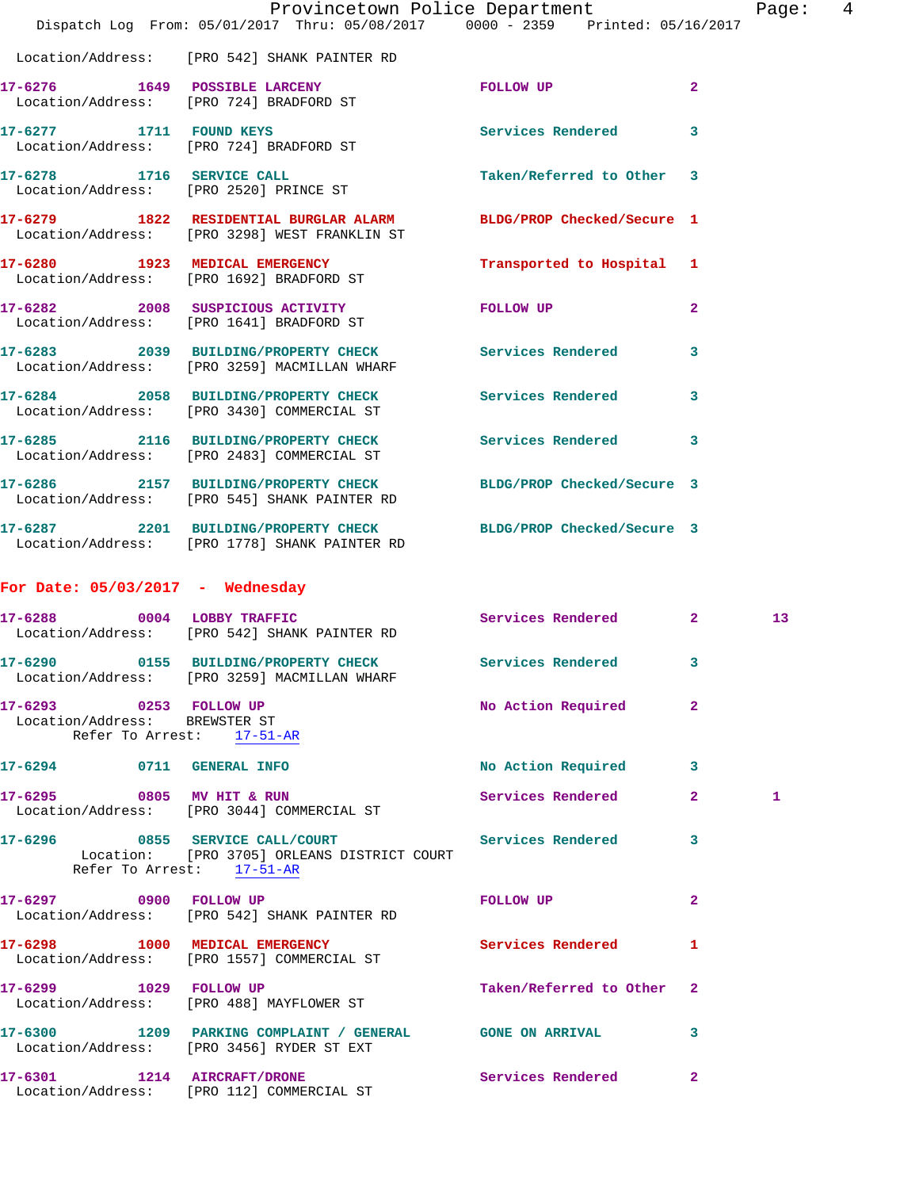|                                                         | Dispatch Log From: 05/01/2017 Thru: 05/08/2017 0000 - 2359 Printed: 05/16/2017                                   | Provincetown Police Department |              | Page:           | $\overline{4}$ |
|---------------------------------------------------------|------------------------------------------------------------------------------------------------------------------|--------------------------------|--------------|-----------------|----------------|
|                                                         | Location/Address: [PRO 542] SHANK PAINTER RD                                                                     |                                |              |                 |                |
|                                                         | 17-6276 1649 POSSIBLE LARCENY<br>Location/Address: [PRO 724] BRADFORD ST                                         | FOLLOW UP                      | $\mathbf{2}$ |                 |                |
|                                                         | 17-6277 1711 FOUND KEYS<br>Location/Address: [PRO 724] BRADFORD ST                                               | Services Rendered 3            |              |                 |                |
|                                                         | 17-6278 1716 SERVICE CALL<br>Location/Address: [PRO 2520] PRINCE ST                                              | Taken/Referred to Other 3      |              |                 |                |
|                                                         | 17-6279 1822 RESIDENTIAL BURGLAR ALARM<br>Location/Address: [PRO 3298] WEST FRANKLIN ST                          | BLDG/PROP Checked/Secure 1     |              |                 |                |
|                                                         | 17-6280 1923 MEDICAL EMERGENCY<br>Location/Address: [PRO 1692] BRADFORD ST                                       | Transported to Hospital 1      |              |                 |                |
|                                                         | 17-6282 2008 SUSPICIOUS ACTIVITY<br>Location/Address: [PRO 1641] BRADFORD ST                                     | FOLLOW UP                      | $\mathbf{2}$ |                 |                |
|                                                         | 17-6283 2039 BUILDING/PROPERTY CHECK Services Rendered<br>Location/Address: [PRO 3259] MACMILLAN WHARF           |                                | $\mathbf{3}$ |                 |                |
|                                                         | 17-6284 2058 BUILDING/PROPERTY CHECK Services Rendered 3<br>Location/Address: [PRO 3430] COMMERCIAL ST           |                                |              |                 |                |
|                                                         | 17-6285 2116 BUILDING/PROPERTY CHECK<br>Location/Address: [PRO 2483] COMMERCIAL ST                               | Services Rendered 3            |              |                 |                |
|                                                         | 17-6286 2157 BUILDING/PROPERTY CHECK<br>Location/Address: [PRO 545] SHANK PAINTER RD                             | BLDG/PROP Checked/Secure 3     |              |                 |                |
|                                                         | 17-6287 2201 BUILDING/PROPERTY CHECK BLDG/PROP Checked/Secure 3<br>Location/Address: [PRO 1778] SHANK PAINTER RD |                                |              |                 |                |
| For Date: $05/03/2017$ - Wednesday                      |                                                                                                                  |                                |              |                 |                |
|                                                         | 17-6288 0004 LOBBY TRAFFIC<br>Location/Address: [PRO 542] SHANK PAINTER RD                                       | Services Rendered 2            |              | 13 <sup>°</sup> |                |
|                                                         | 17-6290 0155 BUILDING/PROPERTY CHECK<br>Location/Address: [PRO 3259] MACMILLAN WHARF                             | Services Rendered 3            |              |                 |                |
| 17-6293 0253 FOLLOW UP<br>Location/Address: BREWSTER ST | Refer To Arrest: 17-51-AR                                                                                        | No Action Required             | $\mathbf{2}$ |                 |                |
| 17-6294 0711 GENERAL INFO                               |                                                                                                                  | No Action Required 3           |              |                 |                |
| 17-6295 0805 MV HIT & RUN                               | Location/Address: [PRO 3044] COMMERCIAL ST                                                                       | Services Rendered              | $\mathbf{2}$ | 1               |                |
|                                                         | 17-6296 0855 SERVICE CALL/COURT<br>Location: [PRO 3705] ORLEANS DISTRICT COURT<br>Refer To Arrest: $17-51-AR$    | Services Rendered              | 3            |                 |                |
|                                                         | 17-6297 0900 FOLLOW UP<br>Location/Address: [PRO 542] SHANK PAINTER RD                                           | FOLLOW UP                      | $\mathbf{2}$ |                 |                |
|                                                         | 17-6298 1000 MEDICAL EMERGENCY<br>Location/Address: [PRO 1557] COMMERCIAL ST                                     | Services Rendered              | 1            |                 |                |
|                                                         | 17-6299 1029 FOLLOW UP<br>Location/Address: [PRO 488] MAYFLOWER ST                                               | Taken/Referred to Other 2      |              |                 |                |
|                                                         | 17-6300 1209 PARKING COMPLAINT / GENERAL GONE ON ARRIVAL<br>Location/Address: [PRO 3456] RYDER ST EXT            |                                | 3            |                 |                |
| 17-6301 1214 AIRCRAFT/DRONE                             | Location/Address: [PRO 112] COMMERCIAL ST                                                                        | Services Rendered              | $\mathbf{2}$ |                 |                |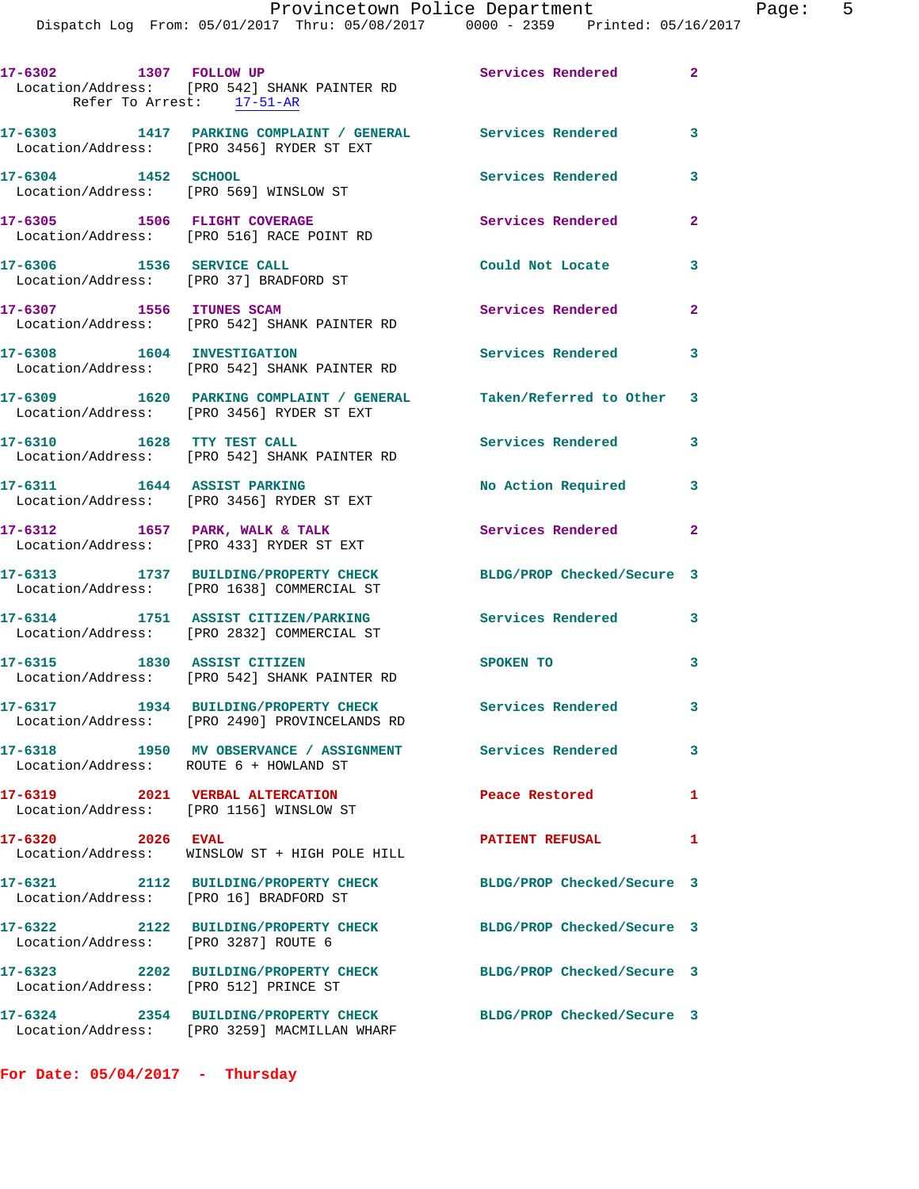| 17-6302 1307 FOLLOW UP                                              | Location/Address: [PRO 542] SHANK PAINTER RD<br>Refer To Arrest: 17-51-AR                                       | Services Rendered 2        |                            |
|---------------------------------------------------------------------|-----------------------------------------------------------------------------------------------------------------|----------------------------|----------------------------|
|                                                                     | 17-6303 1417 PARKING COMPLAINT / GENERAL Services Rendered<br>Location/Address: [PRO 3456] RYDER ST EXT         |                            | $\overline{\phantom{a}}$ 3 |
| 17-6304 1452 SCHOOL                                                 | Location/Address: [PRO 569] WINSLOW ST                                                                          | Services Rendered          | 3                          |
| 17-6305 1506 FLIGHT COVERAGE                                        | Location/Address: [PRO 516] RACE POINT RD                                                                       | Services Rendered          | $\overline{2}$             |
| 17-6306 1536 SERVICE CALL<br>Location/Address: [PRO 37] BRADFORD ST |                                                                                                                 | Could Not Locate           | 3                          |
| 17-6307 1556 ITUNES SCAM                                            | Location/Address: [PRO 542] SHANK PAINTER RD                                                                    | Services Rendered          | $\mathbf{2}$               |
| 17-6308 1604 INVESTIGATION                                          | Location/Address: [PRO 542] SHANK PAINTER RD                                                                    | Services Rendered 3        |                            |
|                                                                     | 17-6309 1620 PARKING COMPLAINT / GENERAL Taken/Referred to Other 3<br>Location/Address: [PRO 3456] RYDER ST EXT |                            |                            |
| 17-6310 1628 TTY TEST CALL                                          | Location/Address: [PRO 542] SHANK PAINTER RD                                                                    | Services Rendered          | 3                          |
|                                                                     | 17-6311 1644 ASSIST PARKING<br>Location/Address: [PRO 3456] RYDER ST EXT                                        | No Action Required         | 3                          |
| $17-6312$ 1657 PARK, WALK & TALK                                    | Location/Address: [PRO 433] RYDER ST EXT                                                                        | Services Rendered          | $\mathbf{2}$               |
|                                                                     | 17-6313 1737 BUILDING/PROPERTY CHECK<br>Location/Address: [PRO 1638] COMMERCIAL ST                              | BLDG/PROP Checked/Secure 3 |                            |
|                                                                     | 17-6314 1751 ASSIST CITIZEN/PARKING<br>Location/Address: [PRO 2832] COMMERCIAL ST                               | Services Rendered          | 3                          |
| 17-6315 1830 ASSIST CITIZEN                                         | Location/Address: [PRO 542] SHANK PAINTER RD                                                                    | <b>SPOKEN TO</b>           | 3                          |
|                                                                     | 17-6317 1934 BUILDING/PROPERTY CHECK<br>Location/Address: [PRO 2490] PROVINCELANDS RD                           | Services Rendered 3        |                            |
| Location/Address: ROUTE 6 + HOWLAND ST                              | 17-6318 1950 MV OBSERVANCE / ASSIGNMENT Services Rendered                                                       |                            | 3                          |
|                                                                     | 17-6319 2021 VERBAL ALTERCATION<br>Location/Address: [PRO 1156] WINSLOW ST                                      | Peace Restored             | $\mathbf{1}$               |
| 17-6320 2026 EVAL                                                   | Location/Address: WINSLOW ST + HIGH POLE HILL                                                                   | <b>PATIENT REFUSAL</b>     | 1                          |
| Location/Address: [PRO 16] BRADFORD ST                              | 17-6321 2112 BUILDING/PROPERTY CHECK                                                                            | BLDG/PROP Checked/Secure 3 |                            |
| Location/Address: [PRO 3287] ROUTE 6                                | 17-6322 2122 BUILDING/PROPERTY CHECK                                                                            | BLDG/PROP Checked/Secure 3 |                            |
| Location/Address: [PRO 512] PRINCE ST                               | 17-6323 2202 BUILDING/PROPERTY CHECK                                                                            | BLDG/PROP Checked/Secure 3 |                            |
| 17-6324                                                             | 2354 BUILDING/PROPERTY CHECK<br>Location/Address: [PRO 3259] MACMILLAN WHARF                                    | BLDG/PROP Checked/Secure 3 |                            |

**For Date: 05/04/2017 - Thursday**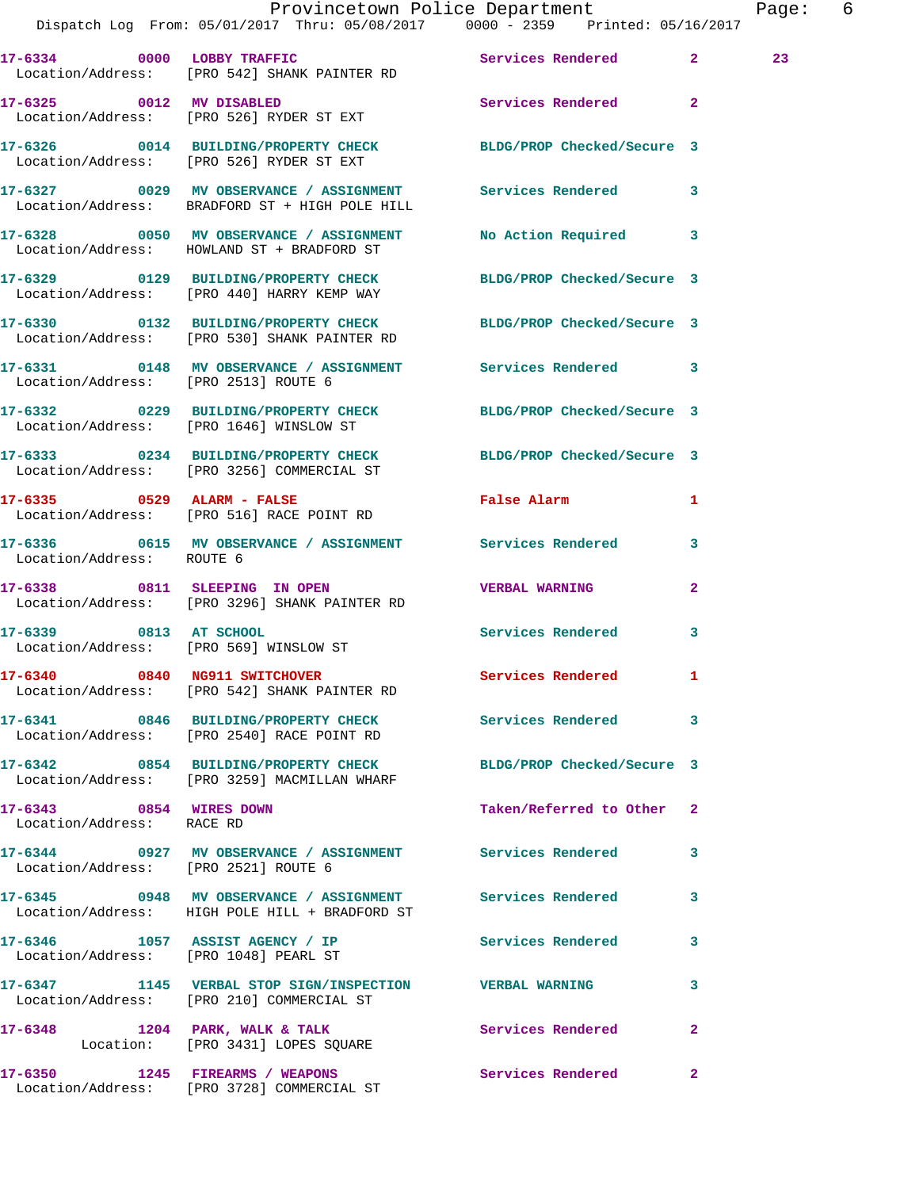|                                                      | Dispatch Log From: 05/01/2017 Thru: 05/08/2017 0000 - 2359 Printed: 05/16/2017                                  | Provincetown Police Department | Page: 6         |  |
|------------------------------------------------------|-----------------------------------------------------------------------------------------------------------------|--------------------------------|-----------------|--|
|                                                      | 17-6334 0000 LOBBY TRAFFIC Services Rendered 2<br>Location/Address: [PRO 542] SHANK PAINTER RD                  |                                | 23 <sub>o</sub> |  |
|                                                      | 17-6325 0012 MV DISABLED<br>Location/Address: [PRO 526] RYDER ST EXT                                            | Services Rendered 2            |                 |  |
|                                                      | 17-6326 0014 BUILDING/PROPERTY CHECK BLDG/PROP Checked/Secure 3<br>Location/Address: [PRO 526] RYDER ST EXT     |                                |                 |  |
|                                                      | 17-6327 0029 MV OBSERVANCE / ASSIGNMENT Services Rendered 3<br>Location/Address: BRADFORD ST + HIGH POLE HILL   |                                |                 |  |
|                                                      | 17-6328 6050 MV OBSERVANCE / ASSIGNMENT No Action Required 3<br>Location/Address: HOWLAND ST + BRADFORD ST      |                                |                 |  |
|                                                      | 17-6329 0129 BUILDING/PROPERTY CHECK BLDG/PROP Checked/Secure 3<br>Location/Address: [PRO 440] HARRY KEMP WAY   |                                |                 |  |
|                                                      | 17-6330 0132 BUILDING/PROPERTY CHECK BLDG/PROP Checked/Secure 3<br>Location/Address: [PRO 530] SHANK PAINTER RD |                                |                 |  |
| Location/Address: [PRO 2513] ROUTE 6                 | 17-6331 0148 MV OBSERVANCE / ASSIGNMENT Services Rendered 3                                                     |                                |                 |  |
|                                                      | 17-6332 0229 BUILDING/PROPERTY CHECK BLDG/PROP Checked/Secure 3<br>Location/Address: [PRO 1646] WINSLOW ST      |                                |                 |  |
|                                                      | 17-6333 0234 BUILDING/PROPERTY CHECK BLDG/PROP Checked/Secure 3<br>Location/Address: [PRO 3256] COMMERCIAL ST   |                                |                 |  |
|                                                      | $17-6335$ 0529 ALARM - FALSE<br>Location/Address: [PRO 516] RACE POINT RD                                       | False Alarm 1                  |                 |  |
| Location/Address: ROUTE 6                            | 17-6336 6615 MV OBSERVANCE / ASSIGNMENT Services Rendered                                                       |                                | 3               |  |
|                                                      | 17-6338 0811 SLEEPING IN OPEN<br>Location/Address: [PRO 3296] SHANK PAINTER RD                                  | <b>VERBAL WARNING</b>          | $\mathbf{2}$    |  |
| Location/Address: [PRO 569] WINSLOW ST               | 17-6339 0813 AT SCHOOL                                                                                          | Services Rendered 3            |                 |  |
|                                                      | 17-6340 0840 NG911 SWITCHOVER<br>Location/Address: [PRO 542] SHANK PAINTER RD                                   | Services Rendered 1            |                 |  |
|                                                      | 17-6341 0846 BUILDING/PROPERTY CHECK Services Rendered<br>Location/Address: [PRO 2540] RACE POINT RD            |                                | 3               |  |
|                                                      | 17-6342 0854 BUILDING/PROPERTY CHECK BLDG/PROP Checked/Secure 3<br>Location/Address: [PRO 3259] MACMILLAN WHARF |                                |                 |  |
| 17-6343 0854 WIRES DOWN<br>Location/Address: RACE RD |                                                                                                                 | Taken/Referred to Other 2      |                 |  |
| Location/Address: [PRO 2521] ROUTE 6                 | 17-6344 0927 MV OBSERVANCE / ASSIGNMENT Services Rendered 3                                                     |                                |                 |  |
|                                                      | 17-6345 0948 MV OBSERVANCE / ASSIGNMENT Services Rendered<br>Location/Address: HIGH POLE HILL + BRADFORD ST     |                                | 3               |  |
|                                                      | 17-6346 1057 ASSIST AGENCY / IP Services Rendered<br>Location/Address: [PRO 1048] PEARL ST                      |                                | $\mathbf{3}$    |  |
|                                                      | 17-6347 1145 VERBAL STOP SIGN/INSPECTION VERBAL WARNING<br>Location/Address: [PRO 210] COMMERCIAL ST            |                                | 3               |  |
|                                                      | 17-6348 1204 PARK, WALK & TALK 1988 Services Rendered<br>Location: [PRO 3431] LOPES SQUARE                      |                                | $\mathbf{2}$    |  |
|                                                      | 17-6350 1245 FIREARMS / WEAPONS Services Rendered<br>Location/Address: [PRO 3728] COMMERCIAL ST                 |                                | 2               |  |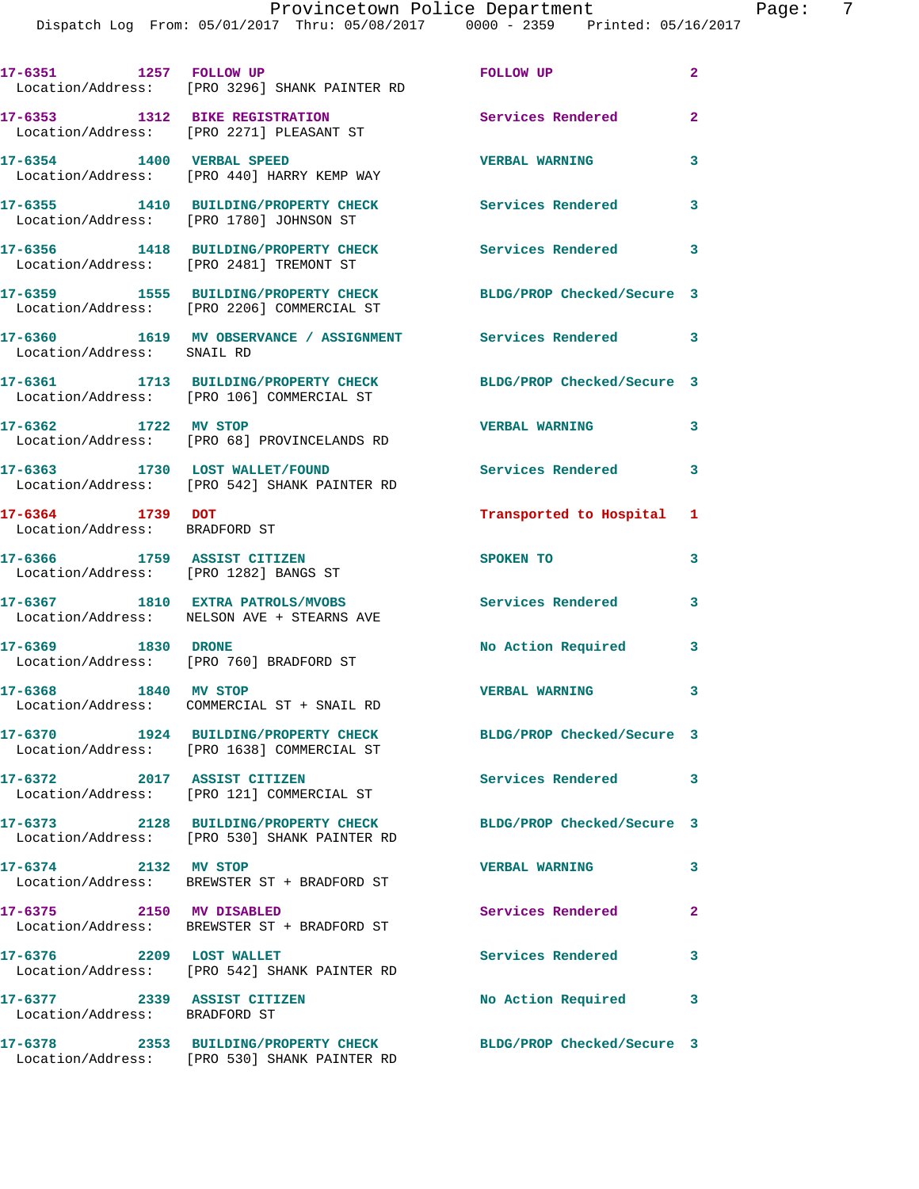| 17-6351 1257 FOLLOW UP                                               | Location/Address: [PRO 3296] SHANK PAINTER RD                                        | FOLLOW UP                  | $\overline{2}$ |
|----------------------------------------------------------------------|--------------------------------------------------------------------------------------|----------------------------|----------------|
|                                                                      | 17-6353 1312 BIKE REGISTRATION<br>Location/Address: [PRO 2271] PLEASANT ST           | <b>Services Rendered</b>   | $\overline{2}$ |
| 17-6354 1400 VERBAL SPEED                                            | Location/Address: [PRO 440] HARRY KEMP WAY                                           | <b>VERBAL WARNING</b>      | 3              |
|                                                                      | 17-6355 1410 BUILDING/PROPERTY CHECK<br>Location/Address: [PRO 1780] JOHNSON ST      | Services Rendered          | 3              |
|                                                                      | 17-6356 1418 BUILDING/PROPERTY CHECK<br>Location/Address: [PRO 2481] TREMONT ST      | Services Rendered 3        |                |
|                                                                      | 17-6359 1555 BUILDING/PROPERTY CHECK<br>Location/Address: [PRO 2206] COMMERCIAL ST   | BLDG/PROP Checked/Secure 3 |                |
| Location/Address: SNAIL RD                                           | 17-6360 1619 MV OBSERVANCE / ASSIGNMENT Services Rendered 3                          |                            |                |
|                                                                      | 17-6361 1713 BUILDING/PROPERTY CHECK<br>Location/Address: [PRO 106] COMMERCIAL ST    | BLDG/PROP Checked/Secure 3 |                |
| 17-6362 1722 MV STOP                                                 | Location/Address: [PRO 68] PROVINCELANDS RD                                          | <b>VERBAL WARNING</b>      | $\mathbf{3}$   |
|                                                                      | 17-6363 1730 LOST WALLET/FOUND<br>Location/Address: [PRO 542] SHANK PAINTER RD       | Services Rendered          | 3              |
| 17-6364 1739 DOT<br>Location/Address: BRADFORD ST                    |                                                                                      | Transported to Hospital    | 1              |
| 17-6366 1759 ASSIST CITIZEN<br>Location/Address: [PRO 1282] BANGS ST |                                                                                      | SPOKEN TO                  | 3              |
|                                                                      | 17-6367 1810 EXTRA PATROLS/MVOBS<br>Location/Address: NELSON AVE + STEARNS AVE       | Services Rendered          | 3              |
| 17-6369 1830 DRONE                                                   | Location/Address: [PRO 760] BRADFORD ST                                              | No Action Required         | 3              |
| 17-6368 1840 MV STOP                                                 | Location/Address: COMMERCIAL ST + SNAIL RD                                           | <b>VERBAL WARNING</b>      | 3              |
|                                                                      | 17-6370 1924 BUILDING/PROPERTY CHECK<br>Location/Address: [PRO 1638] COMMERCIAL ST   | BLDG/PROP Checked/Secure 3 |                |
| 17-6372 2017 ASSIST CITIZEN                                          | Location/Address: [PRO 121] COMMERCIAL ST                                            | Services Rendered 3        |                |
|                                                                      | 17-6373 2128 BUILDING/PROPERTY CHECK<br>Location/Address: [PRO 530] SHANK PAINTER RD | BLDG/PROP Checked/Secure 3 |                |
| 17-6374 2132 MV STOP                                                 | Location/Address: BREWSTER ST + BRADFORD ST                                          | <b>VERBAL WARNING</b>      | 3              |
| 17-6375 2150 MV DISABLED                                             | Location/Address: BREWSTER ST + BRADFORD ST                                          | <b>Services Rendered</b>   | $\mathbf{2}$   |
| 17-6376 2209 LOST WALLET                                             | Location/Address: [PRO 542] SHANK PAINTER RD                                         | Services Rendered          | 3              |
| 17-6377 2339 ASSIST CITIZEN<br>Location/Address: BRADFORD ST         |                                                                                      | No Action Required         | 3              |
|                                                                      | 17-6378 2353 BUILDING/PROPERTY CHECK<br>Location/Address: [PRO 530] SHANK PAINTER RD | BLDG/PROP Checked/Secure 3 |                |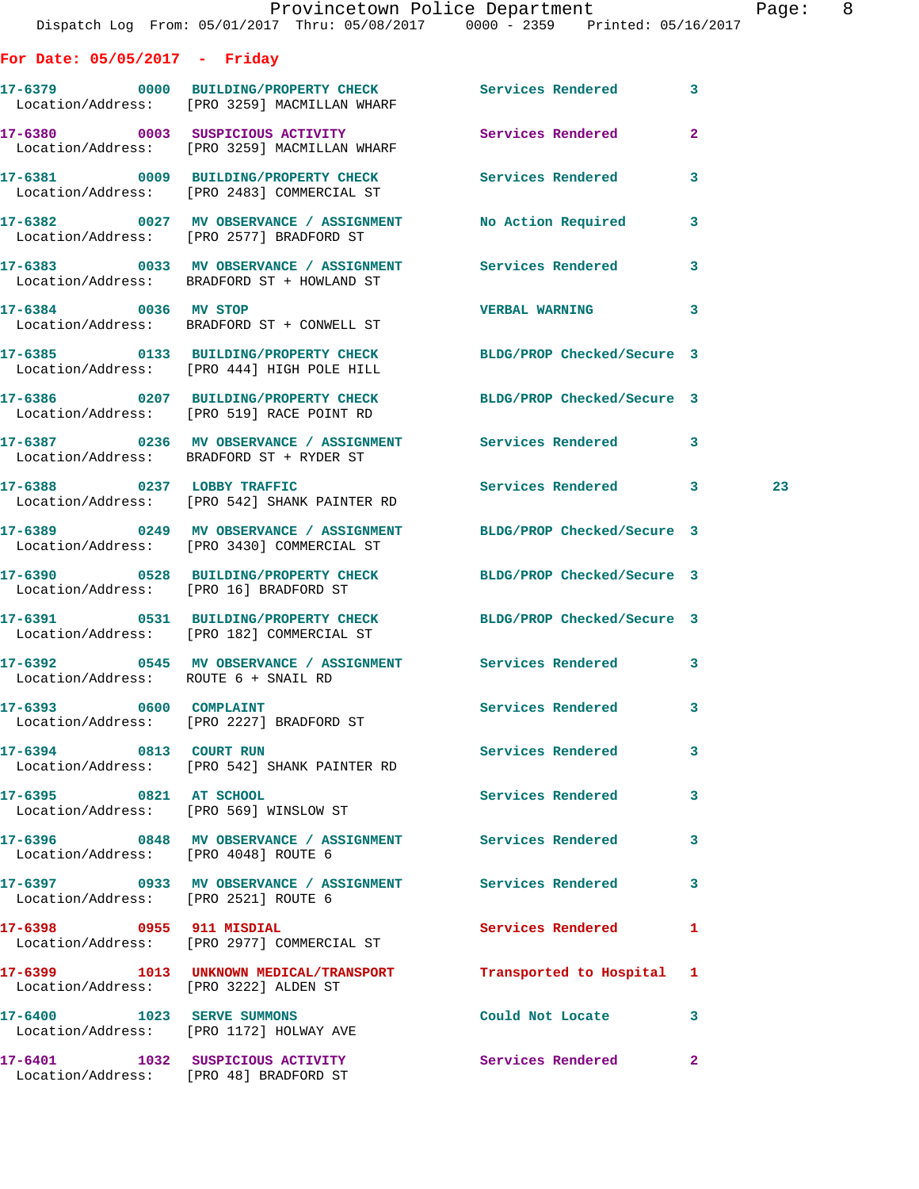|                                       | Provincetown Police Department<br>Dispatch Log From: 05/01/2017 Thru: 05/08/2017 0000 - 2359 Printed: 05/16/2017 |                           |              | Page: 8 |  |
|---------------------------------------|------------------------------------------------------------------------------------------------------------------|---------------------------|--------------|---------|--|
| For Date: $05/05/2017$ - Friday       |                                                                                                                  |                           |              |         |  |
|                                       | 17-6379 0000 BUILDING/PROPERTY CHECK Services Rendered 3<br>Location/Address: [PRO 3259] MACMILLAN WHARF         |                           |              |         |  |
|                                       | 17-6380 0003 SUSPICIOUS ACTIVITY<br>Location/Address: [PRO 3259] MACMILLAN WHARF                                 | Services Rendered         | $\mathbf{2}$ |         |  |
|                                       | 17-6381 0009 BUILDING/PROPERTY CHECK Services Rendered 3<br>Location/Address: [PRO 2483] COMMERCIAL ST           |                           |              |         |  |
|                                       | 17-6382 0027 MV OBSERVANCE / ASSIGNMENT No Action Required 3<br>Location/Address: [PRO 2577] BRADFORD ST         |                           |              |         |  |
|                                       | 17-6383 6033 MV OBSERVANCE / ASSIGNMENT Services Rendered<br>Location/Address: BRADFORD ST + HOWLAND ST          |                           | $\mathbf{3}$ |         |  |
| 17-6384 0036 MV STOP                  | Location/Address: BRADFORD ST + CONWELL ST                                                                       | VERBAL WARNING 3          |              |         |  |
|                                       | 17-6385 0133 BUILDING/PROPERTY CHECK BLDG/PROP Checked/Secure 3<br>Location/Address: [PRO 444] HIGH POLE HILL    |                           |              |         |  |
|                                       | 17-6386 0207 BUILDING/PROPERTY CHECK BLDG/PROP Checked/Secure 3<br>Location/Address: [PRO 519] RACE POINT RD     |                           |              |         |  |
|                                       | 17-6387 6236 MV OBSERVANCE / ASSIGNMENT Services Rendered 3<br>Location/Address: BRADFORD ST + RYDER ST          |                           |              |         |  |
|                                       | 17-6388 0237 LOBBY TRAFFIC Services Rendered 3<br>Location/Address: [PRO 542] SHANK PAINTER RD                   |                           |              | 23      |  |
|                                       | 17-6389 0249 MV OBSERVANCE / ASSIGNMENT BLDG/PROP Checked/Secure 3<br>Location/Address: [PRO 3430] COMMERCIAL ST |                           |              |         |  |
|                                       | 17-6390 0528 BUILDING/PROPERTY CHECK BLDG/PROP Checked/Secure 3<br>Location/Address: [PRO 16] BRADFORD ST        |                           |              |         |  |
|                                       | 17-6391 0531 BUILDING/PROPERTY CHECK BLDG/PROP Checked/Secure 3<br>Location/Address: [PRO 182] COMMERCIAL ST     |                           |              |         |  |
| Location/Address: ROUTE 6 + SNAIL RD  | 17-6392 6545 MV OBSERVANCE / ASSIGNMENT Services Rendered 3                                                      |                           |              |         |  |
|                                       | 17-6393 0600 COMPLAINT<br>Location/Address: [PRO 2227] BRADFORD ST                                               | Services Rendered 3       |              |         |  |
| 17-6394 0813 COURT RUN                | Location/Address: [PRO 542] SHANK PAINTER RD                                                                     | <b>Services Rendered</b>  | $\mathbf{3}$ |         |  |
| 17-6395 0821 AT SCHOOL                | Location/Address: [PRO 569] WINSLOW ST                                                                           | Services Rendered         | $\mathbf{3}$ |         |  |
| Location/Address: [PRO 4048] ROUTE 6  | 17-6396 6848 MV OBSERVANCE / ASSIGNMENT Services Rendered 3                                                      |                           |              |         |  |
| Location/Address: [PRO 2521] ROUTE 6  | 17-6397 0933 MV OBSERVANCE / ASSIGNMENT Services Rendered 3                                                      |                           |              |         |  |
|                                       | 17-6398 0955 911 MISDIAL<br>Location/Address: [PRO 2977] COMMERCIAL ST                                           | Services Rendered 1       |              |         |  |
| Location/Address: [PRO 3222] ALDEN ST | 17-6399 1013 UNKNOWN MEDICAL/TRANSPORT                                                                           | Transported to Hospital 1 |              |         |  |
|                                       | 17-6400 1023 SERVE SUMMONS<br>Location/Address: [PRO 1172] HOLWAY AVE                                            | Could Not Locate 3        |              |         |  |
|                                       | 17-6401 1032 SUSPICIOUS ACTIVITY 1990 Services Rendered 2                                                        |                           |              |         |  |

Location/Address: [PRO 48] BRADFORD ST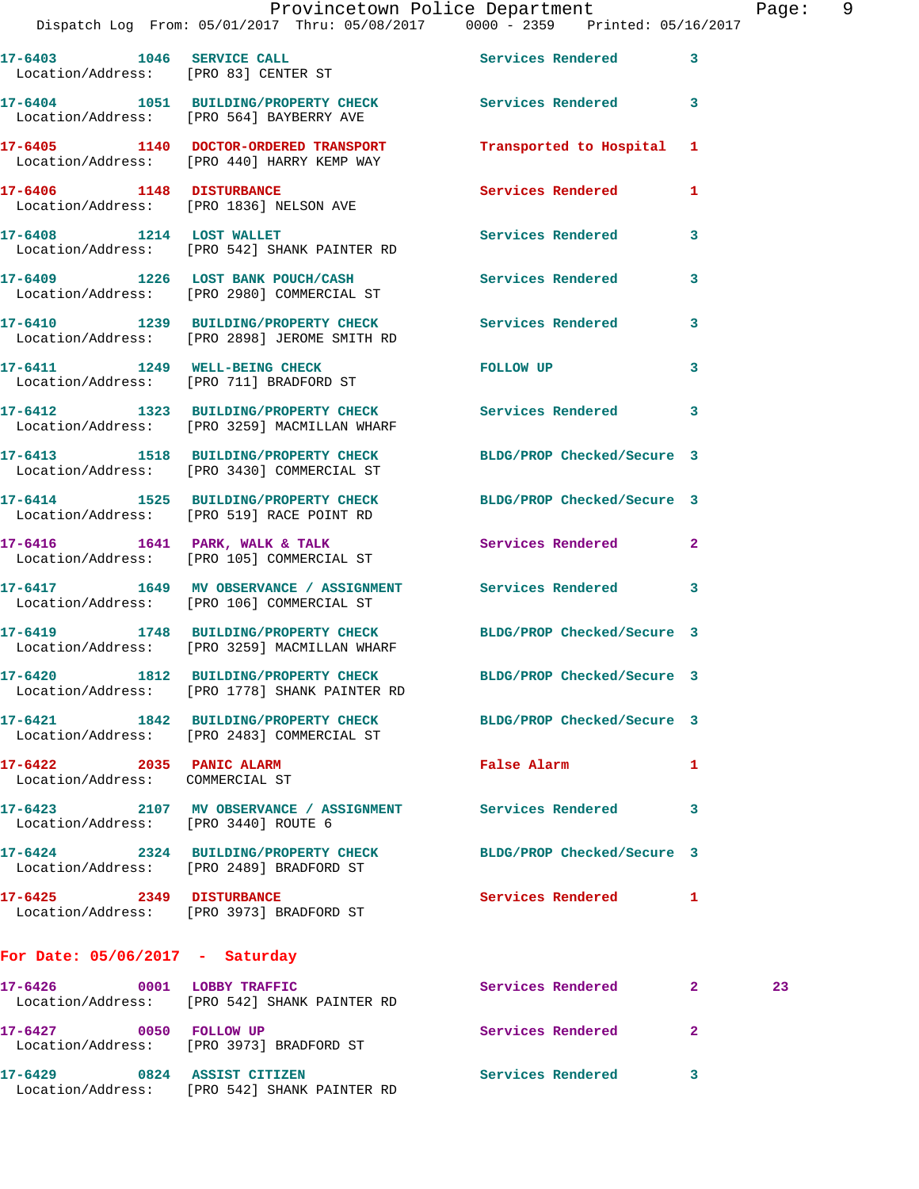|                                                             | Lispatch Log From 05/01/2017 Infu 05/06/2017 - 0000 - 2559 - Printed 05/10/2017                                  |                            |                      |
|-------------------------------------------------------------|------------------------------------------------------------------------------------------------------------------|----------------------------|----------------------|
| 17-6403 1046 SERVICE CALL                                   | Location/Address: [PRO 83] CENTER ST                                                                             | Services Rendered 3        |                      |
|                                                             | 17-6404 1051 BUILDING/PROPERTY CHECK Services Rendered 3<br>Location/Address: [PRO 564] BAYBERRY AVE             |                            |                      |
|                                                             | 17-6405 1140 DOCTOR-ORDERED TRANSPORT Transported to Hospital 1<br>Location/Address: [PRO 440] HARRY KEMP WAY    |                            |                      |
|                                                             | 17-6406 1148 DISTURBANCE<br>Location/Address: [PRO 1836] NELSON AVE                                              | Services Rendered          | 1                    |
|                                                             | 17-6408 1214 LOST WALLET<br>Location/Address: [PRO 542] SHANK PAINTER RD                                         | Services Rendered 3        |                      |
|                                                             | 17-6409 1226 LOST BANK POUCH/CASH Services Rendered<br>Location/Address: [PRO 2980] COMMERCIAL ST                |                            | 3                    |
|                                                             | 17-6410 1239 BUILDING/PROPERTY CHECK Services Rendered<br>Location/Address: [PRO 2898] JEROME SMITH RD           |                            | 3                    |
|                                                             | 17-6411 1249 WELL-BEING CHECK<br>Location/Address: [PRO 711] BRADFORD ST                                         | FOLLOW UP                  | 3                    |
|                                                             | 17-6412 1323 BUILDING/PROPERTY CHECK Services Rendered<br>Location/Address: [PRO 3259] MACMILLAN WHARF           |                            | 3                    |
|                                                             | 17-6413 1518 BUILDING/PROPERTY CHECK BLDG/PROP Checked/Secure 3<br>Location/Address: [PRO 3430] COMMERCIAL ST    |                            |                      |
|                                                             | 17-6414 1525 BUILDING/PROPERTY CHECK BLDG/PROP Checked/Secure 3<br>Location/Address: [PRO 519] RACE POINT RD     |                            |                      |
|                                                             | 17-6416 1641 PARK, WALK & TALK 1999 Services Rendered 2<br>Location/Address: [PRO 105] COMMERCIAL ST             |                            |                      |
|                                                             | 17-6417 1649 MV OBSERVANCE / ASSIGNMENT Services Rendered<br>Location/Address: [PRO 106] COMMERCIAL ST           |                            | 3                    |
|                                                             | 17-6419 1748 BUILDING/PROPERTY CHECK BLDG/PROP Checked/Secure 3<br>Location/Address: [PRO 3259] MACMILLAN WHARF  |                            |                      |
|                                                             | 17-6420 1812 BUILDING/PROPERTY CHECK BLDG/PROP Checked/Secure 3<br>Location/Address: [PRO 1778] SHANK PAINTER RD |                            |                      |
|                                                             | 17-6421 1842 BUILDING/PROPERTY CHECK<br>Location/Address: [PRO 2483] COMMERCIAL ST                               | BLDG/PROP Checked/Secure 3 |                      |
| 17-6422 2035 PANIC ALARM<br>Location/Address: COMMERCIAL ST |                                                                                                                  | False Alarm                | 1                    |
| Location/Address: [PRO 3440] ROUTE 6                        | 17-6423 2107 MV OBSERVANCE / ASSIGNMENT Services Rendered                                                        |                            | 3                    |
|                                                             | 17-6424 2324 BUILDING/PROPERTY CHECK<br>Location/Address: [PRO 2489] BRADFORD ST                                 | BLDG/PROP Checked/Secure 3 |                      |
| 17-6425 2349 DISTURBANCE                                    | Location/Address: [PRO 3973] BRADFORD ST                                                                         | Services Rendered          | $\mathbf{1}$         |
| For Date: $05/06/2017$ - Saturday                           |                                                                                                                  |                            |                      |
| 17-6426 0001 LOBBY TRAFFIC                                  | Location/Address: [PRO 542] SHANK PAINTER RD                                                                     | Services Rendered          | $\overline{2}$<br>23 |
| 17-6427 0050 FOLLOW UP                                      | Location/Address: [PRO 3973] BRADFORD ST                                                                         | Services Rendered          | $\mathbf{2}$         |
| 17-6429 0824 ASSIST CITIZEN                                 | Location/Address: [PRO 542] SHANK PAINTER RD                                                                     | Services Rendered          | 3                    |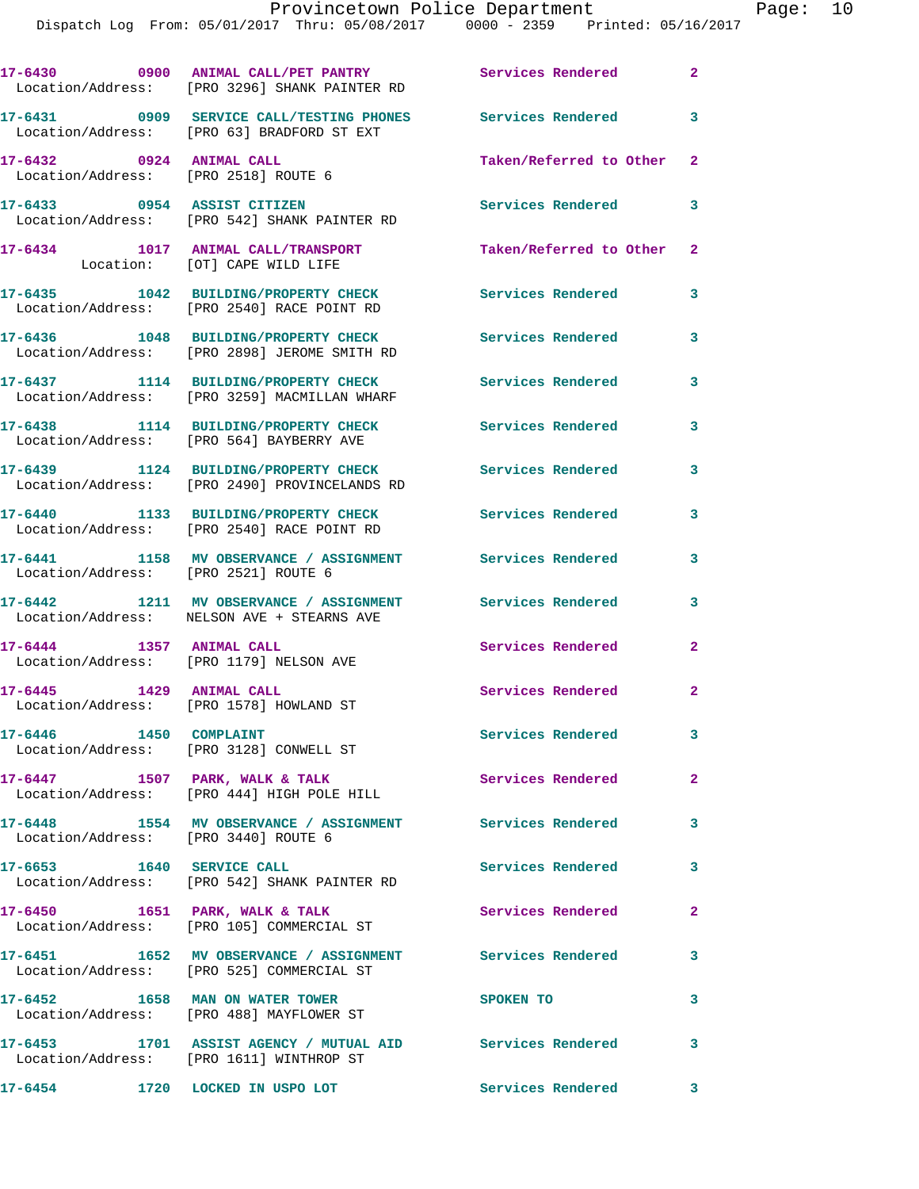|                                                                  | 17-6430 0900 ANIMAL CALL/PET PANTRY Services Rendered 2<br>Location/Address: [PRO 3296] SHANK PAINTER RD |                               |                         |
|------------------------------------------------------------------|----------------------------------------------------------------------------------------------------------|-------------------------------|-------------------------|
|                                                                  | 17-6431 0909 SERVICE CALL/TESTING PHONES Services Rendered<br>Location/Address: [PRO 63] BRADFORD ST EXT |                               | 3                       |
| 17-6432 0924 ANIMAL CALL<br>Location/Address: [PRO 2518] ROUTE 6 |                                                                                                          | Taken/Referred to Other 2     |                         |
|                                                                  | 17-6433 0954 ASSIST CITIZEN<br>Location/Address: [PRO 542] SHANK PAINTER RD                              | Services Rendered             | 3                       |
|                                                                  | 17-6434 1017 ANIMAL CALL/TRANSPORT<br>Location: [OT] CAPE WILD LIFE                                      | Taken/Referred to Other 2     |                         |
|                                                                  | 17-6435 1042 BUILDING/PROPERTY CHECK<br>Location/Address: [PRO 2540] RACE POINT RD                       | <b>Services Rendered</b>      | 3                       |
|                                                                  | 17-6436 1048 BUILDING/PROPERTY CHECK<br>Location/Address: [PRO 2898] JEROME SMITH RD                     | <b>Services Rendered</b>      | 3                       |
|                                                                  | 17-6437 1114 BUILDING/PROPERTY CHECK<br>Location/Address: [PRO 3259] MACMILLAN WHARF                     | <b>Services Rendered</b>      | $\mathbf{3}$            |
|                                                                  | 17-6438 1114 BUILDING/PROPERTY CHECK<br>Location/Address: [PRO 564] BAYBERRY AVE                         | <b>Services Rendered</b>      | 3                       |
|                                                                  | 17-6439 1124 BUILDING/PROPERTY CHECK Services Rendered<br>Location/Address: [PRO 2490] PROVINCELANDS RD  |                               | $\overline{\mathbf{3}}$ |
|                                                                  | 17-6440 1133 BUILDING/PROPERTY CHECK Services Rendered<br>Location/Address: [PRO 2540] RACE POINT RD     |                               | 3                       |
| Location/Address: [PRO 2521] ROUTE 6                             | 17-6441 1158 MV OBSERVANCE / ASSIGNMENT Services Rendered                                                |                               | $\overline{\mathbf{3}}$ |
|                                                                  | 17-6442 1211 MV OBSERVANCE / ASSIGNMENT Services Rendered<br>Location/Address: NELSON AVE + STEARNS AVE  |                               | 3                       |
| 17-6444 1357 ANIMAL CALL                                         | Location/Address: [PRO 1179] NELSON AVE                                                                  | <b>Services Rendered</b>      | $\mathbf{2}$            |
|                                                                  | Location/Address: [PRO 1578] HOWLAND ST                                                                  | <b>Services Rendered</b>      | $\mathbf{2}$            |
| 17-6446 1450 COMPLAINT                                           | Location/Address: [PRO 3128] CONWELL ST                                                                  | Services Rendered             | 3                       |
|                                                                  | 17-6447 1507 PARK, WALK & TALK<br>Location/Address: [PRO 444] HIGH POLE HILL                             | <b>Services Rendered</b>      | $\mathbf{2}$            |
| Location/Address: [PRO 3440] ROUTE 6                             | 17-6448 1554 MV OBSERVANCE / ASSIGNMENT Services Rendered                                                |                               | $\overline{\mathbf{3}}$ |
|                                                                  | 17-6653 1640 SERVICE CALL<br>Location/Address: [PRO 542] SHANK PAINTER RD                                | <b>Services Rendered</b>      | $\mathbf{3}$            |
|                                                                  | $17-6450$ 1651 PARK, WALK & TALK<br>Location/Address: [PRO 105] COMMERCIAL ST                            | $\sim$ 2<br>Services Rendered |                         |
|                                                                  | 17-6451 1652 MV OBSERVANCE / ASSIGNMENT Services Rendered<br>Location/Address: [PRO 525] COMMERCIAL ST   |                               | 3                       |
|                                                                  | 17-6452 1658 MAN ON WATER TOWER<br>Location/Address: [PRO 488] MAYFLOWER ST                              | SPOKEN TO                     | 3                       |
|                                                                  | 17-6453 1701 ASSIST AGENCY / MUTUAL AID Services Rendered<br>Location/Address: [PRO 1611] WINTHROP ST    |                               | 3                       |
| 17-6454 1720 LOCKED IN USPO LOT                                  |                                                                                                          | Services Rendered 3           |                         |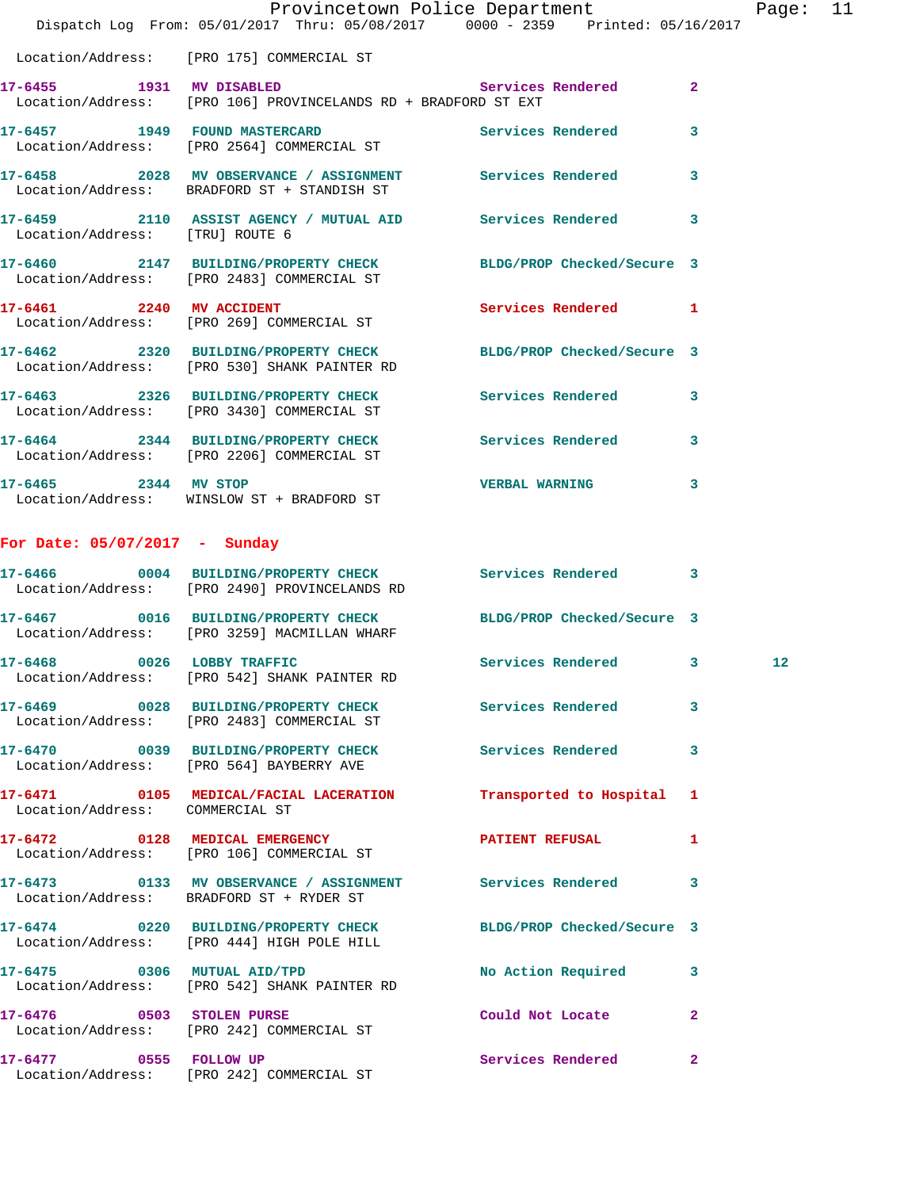|                                 | Dispatch Log From: 05/01/2017 Thru: 05/08/2017 0000 - 2359 Printed: 05/16/2017                                  | Provincetown Police Department |              | Page: 11 |  |
|---------------------------------|-----------------------------------------------------------------------------------------------------------------|--------------------------------|--------------|----------|--|
|                                 | Location/Address: [PRO 175] COMMERCIAL ST                                                                       |                                |              |          |  |
|                                 | 17-6455 1931 MV DISABLED<br>Location/Address: [PRO 106] PROVINCELANDS RD + BRADFORD ST EXT                      | Services Rendered 2            |              |          |  |
|                                 | 17-6457 1949 FOUND MASTERCARD Services Rendered 3<br>Location/Address: [PRO 2564] COMMERCIAL ST                 |                                |              |          |  |
|                                 | 17-6458 2028 MV OBSERVANCE / ASSIGNMENT Services Rendered 3<br>Location/Address: BRADFORD ST + STANDISH ST      |                                |              |          |  |
| Location/Address: [TRU] ROUTE 6 | 17-6459 2110 ASSIST AGENCY / MUTUAL AID Services Rendered 3                                                     |                                |              |          |  |
|                                 | 17-6460 2147 BUILDING/PROPERTY CHECK BLDG/PROP Checked/Secure 3<br>Location/Address: [PRO 2483] COMMERCIAL ST   |                                |              |          |  |
|                                 | 17-6461 2240 MV ACCIDENT<br>Location/Address: [PRO 269] COMMERCIAL ST                                           | Services Rendered 1            |              |          |  |
|                                 | 17-6462 2320 BUILDING/PROPERTY CHECK BLDG/PROP Checked/Secure 3<br>Location/Address: [PRO 530] SHANK PAINTER RD |                                |              |          |  |
|                                 | 17-6463 2326 BUILDING/PROPERTY CHECK Services Rendered 3<br>Location/Address: [PRO 3430] COMMERCIAL ST          |                                |              |          |  |
|                                 | 17-6464 2344 BUILDING/PROPERTY CHECK Services Rendered<br>Location/Address: [PRO 2206] COMMERCIAL ST            |                                | 3            |          |  |
|                                 | 17-6465 2344 MV STOP<br>Location/Address: WINSLOW ST + BRADFORD ST                                              | <b>VERBAL WARNING</b>          | $\mathbf{3}$ |          |  |
| For Date: 05/07/2017 - Sunday   |                                                                                                                 |                                |              |          |  |
|                                 | 17-6466 0004 BUILDING/PROPERTY CHECK Services Rendered<br>Location/Address: [PRO 2490] PROVINCELANDS RD         |                                | 3            |          |  |
|                                 | 17-6467 0016 BUILDING/PROPERTY CHECK BLDG/PROP Checked/Secure 3<br>Location/Address: [PRO 3259] MACMILLAN WHARF |                                |              |          |  |
| 17-6468 0026 LOBBY TRAFFIC      | Location/Address: [PRO 542] SHANK PAINTER RD                                                                    | Services Rendered 3            |              | 12       |  |
|                                 | 17-6469 0028 BUILDING/PROPERTY CHECK Services Rendered 3<br>Location/Address: [PRO 2483] COMMERCIAL ST          |                                |              |          |  |
|                                 | 17-6470 0039 BUILDING/PROPERTY CHECK Services Rendered 3<br>Location/Address: [PRO 564] BAYBERRY AVE            |                                |              |          |  |
| Location/Address: COMMERCIAL ST | 17-6471 0105 MEDICAL/FACIAL LACERATION Transported to Hospital 1                                                |                                |              |          |  |
|                                 | 17-6472 0128 MEDICAL EMERGENCY PATIENT REFUSAL<br>Location/Address: [PRO 106] COMMERCIAL ST                     |                                | $\mathbf{1}$ |          |  |
|                                 | 17-6473 0133 MV OBSERVANCE / ASSIGNMENT Services Rendered 3<br>Location/Address: BRADFORD ST + RYDER ST         |                                |              |          |  |
|                                 | 17-6474 0220 BUILDING/PROPERTY CHECK BLDG/PROP Checked/Secure 3<br>Location/Address: [PRO 444] HIGH POLE HILL   |                                |              |          |  |
|                                 | 17-6475 0306 MUTUAL AID/TPD<br>Location/Address: [PRO 542] SHANK PAINTER RD                                     | No Action Required 3           |              |          |  |
|                                 | 17-6476 0503 STOLEN PURSE<br>Location/Address: [PRO 242] COMMERCIAL ST                                          | Could Not Locate               | $\mathbf{2}$ |          |  |
|                                 | 17-6477 0555 FOLLOW UP<br>Location/Address: [PRO 242] COMMERCIAL ST                                             | Services Rendered 2            |              |          |  |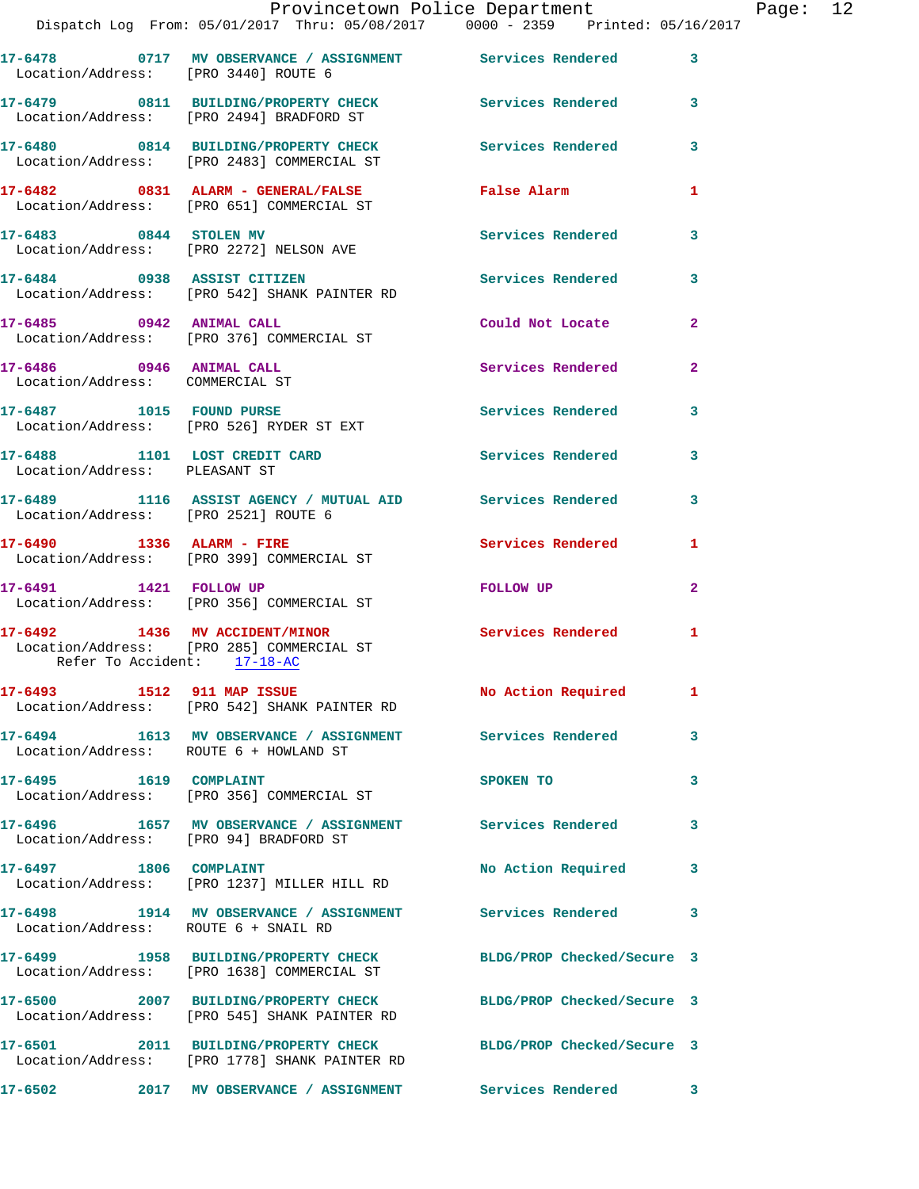|                                                                | Provincetown Police Department<br>Dispatch Log From: 05/01/2017 Thru: 05/08/2017 0000 - 2359 Printed: 05/16/2017 |                          |                |
|----------------------------------------------------------------|------------------------------------------------------------------------------------------------------------------|--------------------------|----------------|
| Location/Address: [PRO 3440] ROUTE 6                           | 17-6478 0717 MV OBSERVANCE / ASSIGNMENT Services Rendered                                                        |                          | $\mathbf{3}$   |
|                                                                | 17-6479 0811 BUILDING/PROPERTY CHECK<br>Location/Address: [PRO 2494] BRADFORD ST                                 | Services Rendered        | 3              |
|                                                                | 17-6480 0814 BUILDING/PROPERTY CHECK Services Rendered<br>Location/Address: [PRO 2483] COMMERCIAL ST             |                          | 3              |
|                                                                | 17-6482 0831 ALARM - GENERAL/FALSE <b>False Alarm</b><br>Location/Address: [PRO 651] COMMERCIAL ST               |                          | $\mathbf{1}$   |
|                                                                | 17-6483 0844 STOLEN MV<br>Location/Address: [PRO 2272] NELSON AVE                                                | Services Rendered        | 3              |
|                                                                | 17-6484 0938 ASSIST CITIZEN<br>Location/Address: [PRO 542] SHANK PAINTER RD                                      | Services Rendered        | 3              |
|                                                                | 17-6485 0942 ANIMAL CALL<br>Location/Address: [PRO 376] COMMERCIAL ST                                            | Could Not Locate         | $\mathbf{2}$   |
| 17-6486 0946 ANIMAL CALL<br>Location/Address: COMMERCIAL ST    |                                                                                                                  | Services Rendered        | $\mathbf{2}$   |
|                                                                | 17-6487 1015 FOUND PURSE<br>Location/Address: [PRO 526] RYDER ST EXT                                             | Services Rendered        | 3              |
| 17-6488 1101 LOST CREDIT CARD<br>Location/Address: PLEASANT ST |                                                                                                                  | Services Rendered        | 3              |
| Location/Address: [PRO 2521] ROUTE 6                           | 17-6489 1116 ASSIST AGENCY / MUTUAL AID Services Rendered                                                        |                          | 3              |
|                                                                | $17-6490$ 1336 ALARM - FIRE<br>Location/Address: [PRO 399] COMMERCIAL ST                                         | <b>Services Rendered</b> | 1              |
|                                                                | 17-6491 1421 FOLLOW UP<br>Location/Address: [PRO 356] COMMERCIAL ST                                              | FOLLOW UP                | $\overline{a}$ |
| Refer To Accident: 17-18-AC                                    | 17-6492 1436 MV ACCIDENT/MINOR<br>Location/Address: [PRO 285] COMMERCIAL ST                                      | <b>Services Rendered</b> | 1              |
|                                                                | 17-6493 1512 911 MAP ISSUE<br>Location/Address: [PRO 542] SHANK PAINTER RD                                       | No Action Required       | 1              |
| Location/Address: ROUTE 6 + HOWLAND ST                         | 17-6494 1613 MV OBSERVANCE / ASSIGNMENT Services Rendered                                                        |                          | 3              |
|                                                                | Location/Address: [PRO 356] COMMERCIAL ST                                                                        | SPOKEN TO                | 3              |
| Location/Address: [PRO 94] BRADFORD ST                         | 17-6496 1657 MV OBSERVANCE / ASSIGNMENT Services Rendered                                                        |                          | 3              |
| 17-6497 1806 COMPLAINT                                         | Location/Address: [PRO 1237] MILLER HILL RD                                                                      | No Action Required       | 3              |
| Location/Address: ROUTE 6 + SNAIL RD                           | 17-6498 1914 MV OBSERVANCE / ASSIGNMENT Services Rendered                                                        |                          | 3              |
|                                                                | 17-6499 1958 BUILDING/PROPERTY CHECK BLDG/PROP Checked/Secure 3<br>Location/Address: [PRO 1638] COMMERCIAL ST    |                          |                |
|                                                                | 17-6500 2007 BUILDING/PROPERTY CHECK BLDG/PROP Checked/Secure 3<br>Location/Address: [PRO 545] SHANK PAINTER RD  |                          |                |
|                                                                | 17-6501 2011 BUILDING/PROPERTY CHECK BLDG/PROP Checked/Secure 3<br>Location/Address: [PRO 1778] SHANK PAINTER RD |                          |                |
|                                                                |                                                                                                                  |                          | 3              |

Page: 12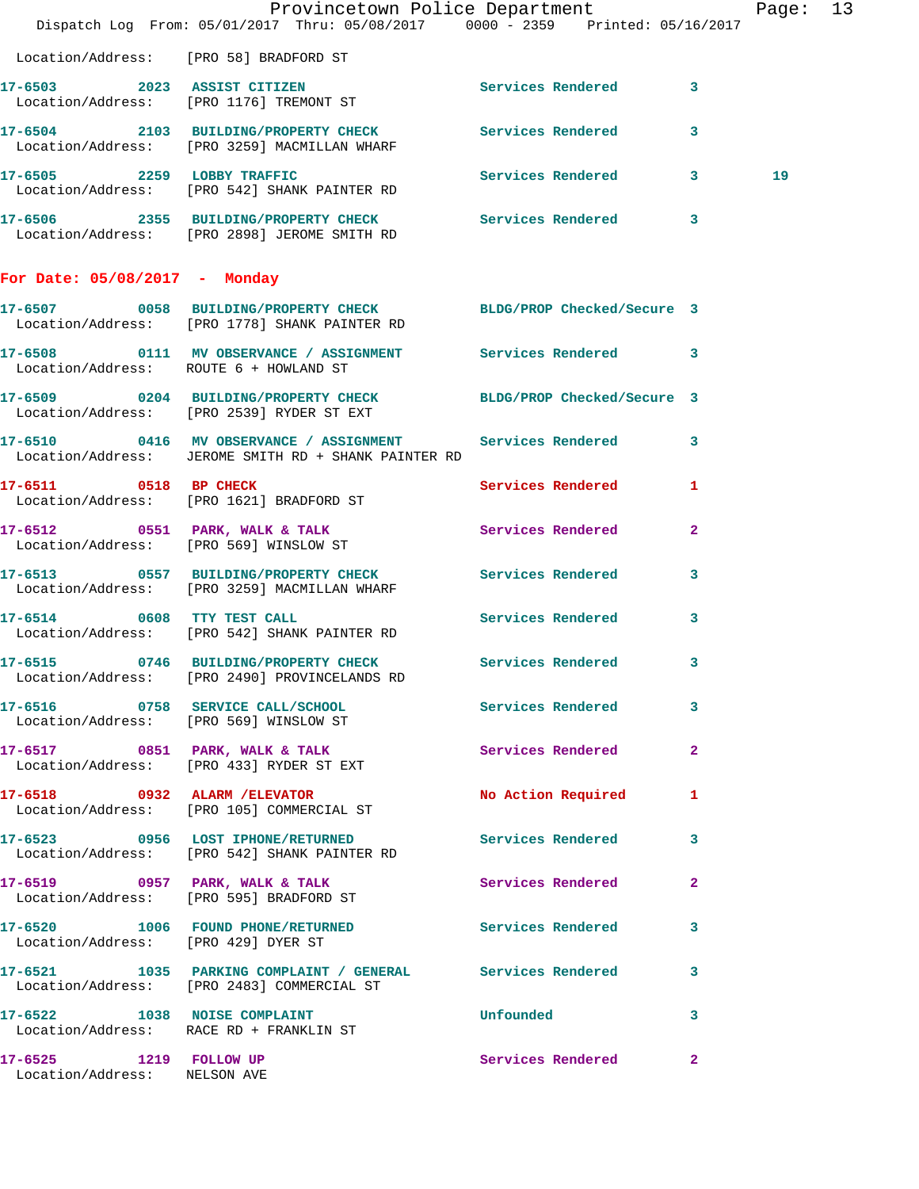|                                                        | Provincetown Police Department<br>Dispatch Log From: 05/01/2017 Thru: 05/08/2017 0000 - 2359 Printed: 05/16/2017    |                          |              | Page: 13 |  |
|--------------------------------------------------------|---------------------------------------------------------------------------------------------------------------------|--------------------------|--------------|----------|--|
|                                                        | Location/Address: [PRO 58] BRADFORD ST                                                                              |                          |              |          |  |
|                                                        | 17-6503 2023 ASSIST CITIZEN<br>Location/Address: [PRO 1176] TREMONT ST                                              | Services Rendered 3      |              |          |  |
|                                                        | 17-6504 2103 BUILDING/PROPERTY CHECK Services Rendered 3<br>Location/Address: [PRO 3259] MACMILLAN WHARF            |                          |              |          |  |
| 17-6505 2259 LOBBY TRAFFIC                             | Location/Address: [PRO 542] SHANK PAINTER RD                                                                        | Services Rendered 3      |              | 19       |  |
|                                                        | 17-6506 2355 BUILDING/PROPERTY CHECK Services Rendered 3<br>Location/Address: [PRO 2898] JEROME SMITH RD            |                          |              |          |  |
| For Date: $05/08/2017$ - Monday                        |                                                                                                                     |                          |              |          |  |
|                                                        | 17-6507 0058 BUILDING/PROPERTY CHECK BLDG/PROP Checked/Secure 3<br>Location/Address: [PRO 1778] SHANK PAINTER RD    |                          |              |          |  |
| Location/Address: ROUTE 6 + HOWLAND ST                 | 17-6508 0111 MV OBSERVANCE / ASSIGNMENT Services Rendered 3                                                         |                          |              |          |  |
|                                                        | 17-6509 0204 BUILDING/PROPERTY CHECK BLDG/PROP Checked/Secure 3<br>Location/Address: [PRO 2539] RYDER ST EXT        |                          |              |          |  |
|                                                        | 17-6510 0416 MV OBSERVANCE / ASSIGNMENT Services Rendered 3<br>Location/Address: JEROME SMITH RD + SHANK PAINTER RD |                          |              |          |  |
|                                                        | 17-6511 0518 BP CHECK<br>Location/Address: [PRO 1621] BRADFORD ST                                                   | Services Rendered 1      |              |          |  |
|                                                        | 17-6512 0551 PARK, WALK & TALK<br>Location/Address: [PRO 569] WINSLOW ST                                            | Services Rendered 2      |              |          |  |
|                                                        | 17-6513 0557 BUILDING/PROPERTY CHECK Services Rendered 3<br>Location/Address: [PRO 3259] MACMILLAN WHARF            |                          |              |          |  |
|                                                        | 17-6514 0608 TTY TEST CALL<br>Location/Address: [PRO 542] SHANK PAINTER RD                                          | <b>Services Rendered</b> | $\mathbf{3}$ |          |  |
|                                                        | 17-6515 0746 BUILDING/PROPERTY CHECK Services Rendered 3<br>Location/Address: [PRO 2490] PROVINCELANDS RD           |                          |              |          |  |
|                                                        | 17-6516 0758 SERVICE CALL/SCHOOL 5 Services Rendered 3<br>Location/Address: [PRO 569] WINSLOW ST                    |                          |              |          |  |
|                                                        | 17-6517 0851 PARK, WALK & TALK 6 Services Rendered 2<br>Location/Address: [PRO 433] RYDER ST EXT                    |                          |              |          |  |
|                                                        | 17-6518 0932 ALARM / ELEVATOR No Action Required 1<br>Location/Address: [PRO 105] COMMERCIAL ST                     |                          |              |          |  |
|                                                        | 17-6523 0956 LOST IPHONE/RETURNED<br>Location/Address: [PRO 542] SHANK PAINTER RD                                   | Services Rendered 3      |              |          |  |
|                                                        | 17-6519 0957 PARK, WALK & TALK<br>Location/Address: [PRO 595] BRADFORD ST                                           | Services Rendered        | $\mathbf{2}$ |          |  |
| Location/Address: [PRO 429] DYER ST                    | 17-6520 1006 FOUND PHONE/RETURNED                                                                                   | Services Rendered 3      |              |          |  |
|                                                        | 17-6521 1035 PARKING COMPLAINT / GENERAL Services Rendered 3<br>Location/Address: [PRO 2483] COMMERCIAL ST          |                          |              |          |  |
|                                                        | 17-6522 1038 NOISE COMPLAINT<br>Location/Address: RACE RD + FRANKLIN ST                                             | Unfounded                | $\sim$ 3     |          |  |
| 17-6525 1219 FOLLOW UP<br>Location/Address: NELSON AVE |                                                                                                                     | Services Rendered 2      |              |          |  |